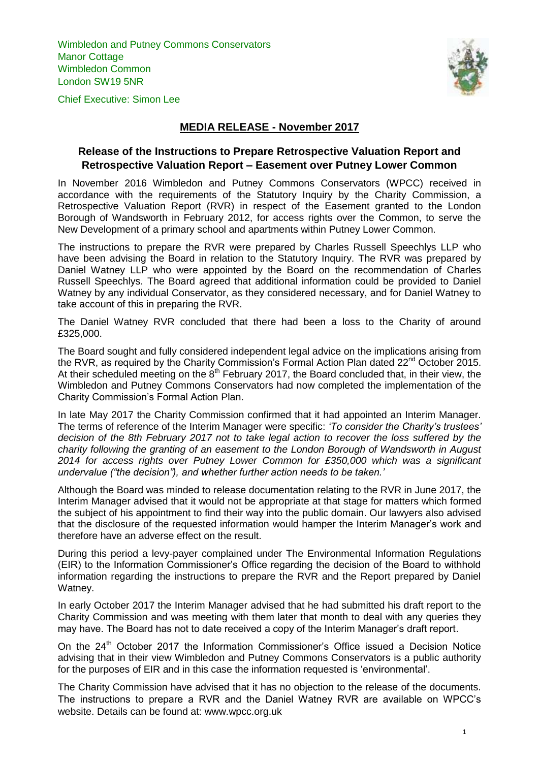Wimbledon and Putney Commons Conservators **Manor Cottage** Wimbledon Common London SW19 5NR



Chief Executive: Simon Lee

## **MEDIA RELEASE - November 2017**

## **Release of the Instructions to Prepare Retrospective Valuation Report and Retrospective Valuation Report – Easement over Putney Lower Common**

In November 2016 Wimbledon and Putney Commons Conservators (WPCC) received in accordance with the requirements of the Statutory Inquiry by the Charity Commission, a Retrospective Valuation Report (RVR) in respect of the Easement granted to the London Borough of Wandsworth in February 2012, for access rights over the Common, to serve the New Development of a primary school and apartments within Putney Lower Common.

The instructions to prepare the RVR were prepared by Charles Russell Speechlys LLP who have been advising the Board in relation to the Statutory Inquiry. The RVR was prepared by Daniel Watney LLP who were appointed by the Board on the recommendation of Charles Russell Speechlys. The Board agreed that additional information could be provided to Daniel Watney by any individual Conservator, as they considered necessary, and for Daniel Watney to take account of this in preparing the RVR.

The Daniel Watney RVR concluded that there had been a loss to the Charity of around £325,000.

The Board sought and fully considered independent legal advice on the implications arising from the RVR, as required by the Charity Commission's Formal Action Plan dated 22<sup>nd</sup> October 2015. At their scheduled meeting on the  $8<sup>th</sup>$  February 2017, the Board concluded that, in their view, the Wimbledon and Putney Commons Conservators had now completed the implementation of the Charity Commission's Formal Action Plan.

In late May 2017 the Charity Commission confirmed that it had appointed an Interim Manager. The terms of reference of the Interim Manager were specific: *'To consider the Charity's trustees' decision of the 8th February 2017 not to take legal action to recover the loss suffered by the charity following the granting of an easement to the London Borough of Wandsworth in August 2014 for access rights over Putney Lower Common for £350,000 which was a significant undervalue ("the decision"), and whether further action needs to be taken.'*

Although the Board was minded to release documentation relating to the RVR in June 2017, the Interim Manager advised that it would not be appropriate at that stage for matters which formed the subject of his appointment to find their way into the public domain. Our lawyers also advised that the disclosure of the requested information would hamper the Interim Manager's work and therefore have an adverse effect on the result.

During this period a levy-payer complained under The Environmental Information Regulations (EIR) to the Information Commissioner's Office regarding the decision of the Board to withhold information regarding the instructions to prepare the RVR and the Report prepared by Daniel Watney.

In early October 2017 the Interim Manager advised that he had submitted his draft report to the Charity Commission and was meeting with them later that month to deal with any queries they may have. The Board has not to date received a copy of the Interim Manager's draft report.

On the 24<sup>th</sup> October 2017 the Information Commissioner's Office issued a Decision Notice advising that in their view Wimbledon and Putney Commons Conservators is a public authority for the purposes of EIR and in this case the information requested is 'environmental'.

The Charity Commission have advised that it has no objection to the release of the documents. The instructions to prepare a RVR and the Daniel Watney RVR are available on WPCC's website. Details can be found at: www.wpcc.org.uk